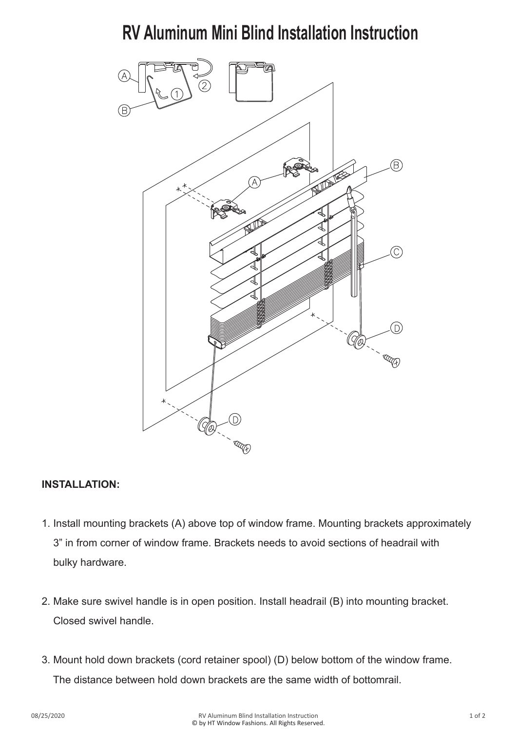# **RV Aluminum Mini Blind Installation Instruction**



## **INSTALLATION:**

- 1. Install mounting brackets (A) above top of window frame. Mounting brackets approximately 3" in from corner of window frame. Brackets needs to avoid sections of headrail with bulky hardware.
- 2. Make sure swivel handle is in open position. Install headrail (B) into mounting bracket. Closed swivel handle.
- 3. Mount hold down brackets (cord retainer spool) (D) below bottom of the window frame. The distance between hold down brackets are the same width of bottomrail.